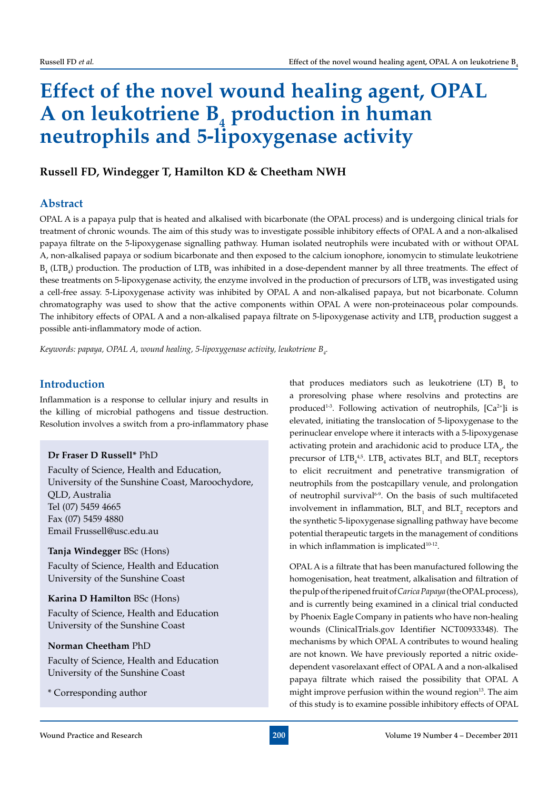# **Effect of the novel wound healing agent, OPAL**  A on leukotriene B<sub>4</sub> production in human **neutrophils and 5-lipoxygenase activity**

# Russell FD, Windegger T, Hamilton KD & Cheetham NWH

# **Abstract**

OPAL A is a papaya pulp that is heated and alkalised with bicarbonate (the OPAL process) and is undergoing clinical trials for treatment of chronic wounds. The aim of this study was to investigate possible inhibitory effects of OPAL A and a non-alkalised papaya filtrate on the 5-lipoxygenase signalling pathway. Human isolated neutrophils were incubated with or without OPAL A, non-alkalised papaya or sodium bicarbonate and then exposed to the calcium ionophore, ionomycin to stimulate leukotriene  $B_4$  (LTB<sub>4</sub>) production. The production of LTB<sub>4</sub> was inhibited in a dose-dependent manner by all three treatments. The effect of these treatments on 5-lipoxygenase activity, the enzyme involved in the production of precursors of  $\mathrm{LTB}_4$  was investigated using a cell-free assay. 5-Lipoxygenase activity was inhibited by OPAL A and non-alkalised papaya, but not bicarbonate. Column chromatography was used to show that the active components within OPAL A were non-proteinaceous polar compounds. The inhibitory effects of OPAL A and a non-alkalised papaya filtrate on 5-lipoxygenase activity and LTB<sub>4</sub> production suggest a possible anti-inflammatory mode of action.

Keywords: papaya, OPAL A, wound healing, 5-lipoxygenase activity, leukotriene B<sub>4</sub>.

## **Introduction**

Inflammation is a response to cellular injury and results in the killing of microbial pathogens and tissue destruction. Resolution involves a switch from a pro-inflammatory phase

#### **Dr Fraser D Russell\*** PhD

Faculty of Science, Health and Education, University of the Sunshine Coast, Maroochydore, QLD, Australia Tel (07) 5459 4665 Fax (07) 5459 4880 Email Frussell@usc.edu.au

**Tanja Windegger** BSc (Hons) Faculty of Science, Health and Education University of the Sunshine Coast

**Karina D Hamilton** BSc (Hons) Faculty of Science, Health and Education University of the Sunshine Coast

#### **Norman Cheetham** PhD

Faculty of Science, Health and Education University of the Sunshine Coast

\* Corresponding author

that produces mediators such as leukotriene (LT)  $B_4$  to a proresolving phase where resolvins and protectins are produced<sup>1-3</sup>. Following activation of neutrophils,  $[Ca^{2+}]$ i is elevated, initiating the translocation of 5-lipoxygenase to the perinuclear envelope where it interacts with a 5-lipoxygenase activating protein and arachidonic acid to produce  $LTA_{4'}$  the precursor of  $LTB_4^{4,5}$ .  $LTB_4$  activates  $BLT_1$  and  $BLT_2$  receptors to elicit recruitment and penetrative transmigration of neutrophils from the postcapillary venule, and prolongation of neutrophil survival<sup>6-9</sup>. On the basis of such multifaceted involvement in inflammation,  $BLT_1$  and  $BLT_2$  receptors and the synthetic 5-lipoxygenase signalling pathway have become potential therapeutic targets in the management of conditions in which inflammation is implicated $10-12$ .

OPAL A is a filtrate that has been manufactured following the homogenisation, heat treatment, alkalisation and filtration of the pulp of the ripened fruit of *Carica Papaya* (the OPAL process), and is currently being examined in a clinical trial conducted by Phoenix Eagle Company in patients who have non-healing wounds (ClinicalTrials.gov Identifier NCT00933348). The mechanisms by which OPAL A contributes to wound healing are not known. We have previously reported a nitric oxidedependent vasorelaxant effect of OPAL A and a non-alkalised papaya filtrate which raised the possibility that OPAL A might improve perfusion within the wound region $13$ . The aim of this study is to examine possible inhibitory effects of OPAL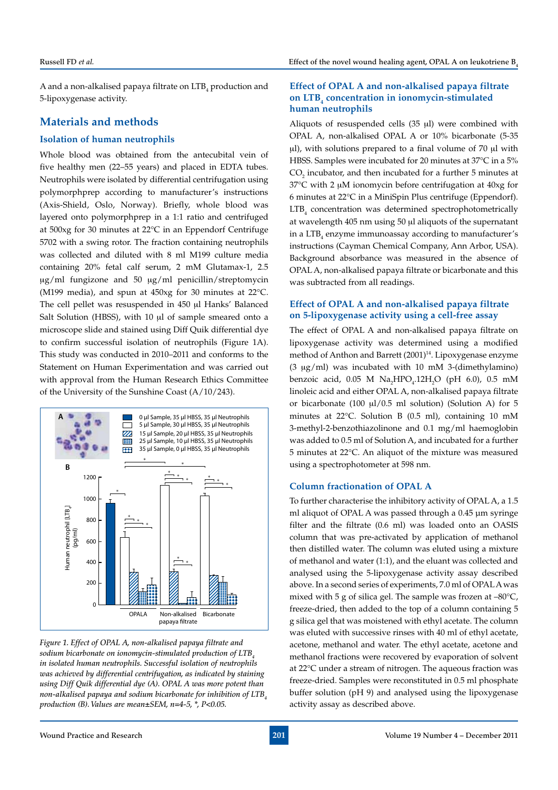A and a non-alkalised papaya filtrate on  $\mathrm{LTB}_4$  production and 5-lipoxygenase activity.

## **Materials and methods**

#### **Isolation of human neutrophils**

Whole blood was obtained from the antecubital vein of five healthy men (22–55 years) and placed in EDTA tubes. Neutrophils were isolated by differential centrifugation using polymorphprep according to manufacturer's instructions (Axis-Shield, Oslo, Norway). Briefly, whole blood was layered onto polymorphprep in a 1:1 ratio and centrifuged at 500xg for 30 minutes at 22°C in an Eppendorf Centrifuge 5702 with a swing rotor. The fraction containing neutrophils was collected and diluted with 8 ml M199 culture media containing 20% fetal calf serum, 2 mM Glutamax-1, 2.5 μg/ml fungizone and 50 μg/ml penicillin/streptomycin (M199 media), and spun at 450xg for 30 minutes at 22°C. The cell pellet was resuspended in 450 µl Hanks' Balanced Salt Solution (HBSS), with 10 µl of sample smeared onto a microscope slide and stained using Diff Quik differential dye to confirm successful isolation of neutrophils (Figure 1A). This study was conducted in 2010–2011 and conforms to the Statement on Human Experimentation and was carried out with approval from the Human Research Ethics Committee of the University of the Sunshine Coast (A/10/243).



*Figure 1. Effect of OPAL A, non-alkalised papaya filtrate and*  sodium bicarbonate on ionomycin-stimulated production of LTB, *in isolated human neutrophils. Successful isolation of neutrophils was achieved by differential centrifugation, as indicated by staining using Diff Quik differential dye (A). OPAL A was more potent than non-alkalised papaya and sodium bicarbonate for inhibition of LTB4 production (B). Values are mean±SEM, n=4-5, \*, P<0.05.*

#### **Effect of OPAL A and non-alkalised papaya filtrate on LTB4 concentration in ionomycin-stimulated human neutrophils**

Aliquots of resuspended cells  $(35 \text{ µl})$  were combined with OPAL A, non-alkalised OPAL A or 10% bicarbonate (5-35 ul), with solutions prepared to a final volume of 70 µl with HBSS. Samples were incubated for 20 minutes at 37°C in a 5%  $\text{CO}_2$  incubator, and then incubated for a further 5 minutes at  $37^{\circ}$ C with 2 µM ionomycin before centrifugation at  $40xg$  for 6 minutes at 22°C in a MiniSpin Plus centrifuge (Eppendorf). LTB4 concentration was determined spectrophotometrically at wavelength 405 nm using 50 µl aliquots of the supernatant in a  $\mathrm{LTB}_4$  enzyme immunoassay according to manufacturer's instructions (Cayman Chemical Company, Ann Arbor, USA). Background absorbance was measured in the absence of OPAL A, non-alkalised papaya filtrate or bicarbonate and this was subtracted from all readings.

### **Effect of OPAL A and non-alkalised papaya filtrate on 5-lipoxygenase activity using a cell-free assay**

The effect of OPAL A and non-alkalised papaya filtrate on lipoxygenase activity was determined using a modified method of Anthon and Barrett (2001)<sup>14</sup>. Lipoxygenase enzyme  $(3 \mu g/ml)$  was incubated with 10 mM 3-(dimethylamino) benzoic acid,  $0.05$  M  $\text{Na}_{2}\text{HPO}_{4}$ .12H<sub>2</sub>O (pH 6.0), 0.5 mM linoleic acid and either OPAL A, non-alkalised papaya filtrate or bicarbonate (100  $\mu$ 1/0.5 ml solution) (Solution A) for 5 minutes at 22°C. Solution B (0.5 ml), containing 10 mM 3-methyl-2-benzothiazolinone and 0.1 mg/ml haemoglobin was added to 0.5 ml of Solution A, and incubated for a further 5 minutes at 22°C. An aliquot of the mixture was measured using a spectrophotometer at 598 nm.

#### **Column fractionation of OPAL A**

To further characterise the inhibitory activity of OPAL A, a 1.5 ml aliquot of OPAL A was passed through a 0.45 μm syringe filter and the filtrate (0.6 ml) was loaded onto an OASIS column that was pre-activated by application of methanol then distilled water. The column was eluted using a mixture of methanol and water (1:1), and the eluant was collected and analysed using the 5-lipoxygenase activity assay described above. In a second series of experiments, 7.0 ml of OPAL A was mixed with 5 g of silica gel. The sample was frozen at –80°C, freeze-dried, then added to the top of a column containing 5 g silica gel that was moistened with ethyl acetate. The column was eluted with successive rinses with 40 ml of ethyl acetate, acetone, methanol and water. The ethyl acetate, acetone and methanol fractions were recovered by evaporation of solvent at 22°C under a stream of nitrogen. The aqueous fraction was freeze-dried. Samples were reconstituted in 0.5 ml phosphate buffer solution (pH 9) and analysed using the lipoxygenase activity assay as described above.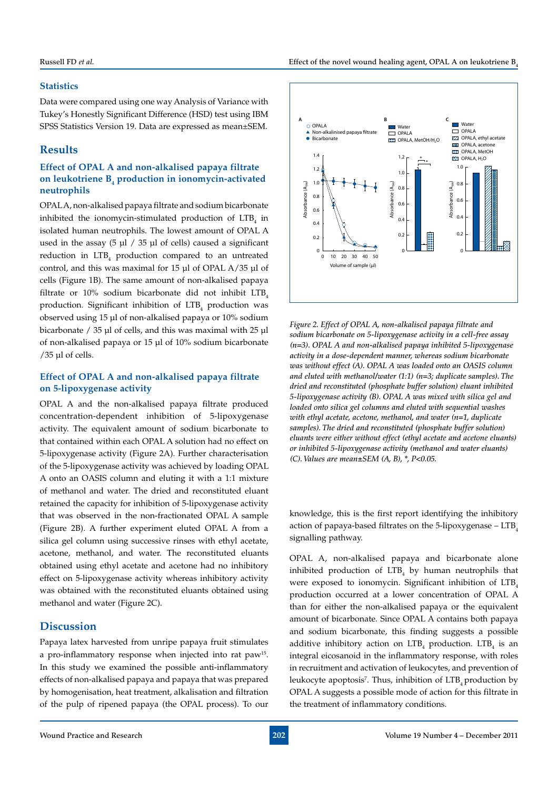#### **Statistics**

Data were compared using one way Analysis of Variance with Tukey's Honestly Significant Difference (HSD) test using IBM SPSS Statistics Version 19. Data are expressed as mean±SEM.

## **Results**

### **Effect of OPAL A and non-alkalised papaya filtrate on leukotriene B4 production in ionomycin-activated neutrophils**

OPAL A, non-alkalised papaya filtrate and sodium bicarbonate inhibited the ionomycin-stimulated production of  $LTB<sub>4</sub>$  in isolated human neutrophils. The lowest amount of OPAL A used in the assay (5 μl / 35 μl of cells) caused a significant reduction in LTB<sub>4</sub> production compared to an untreated control, and this was maximal for 15 μl of OPAL A/35 μl of cells (Figure 1B). The same amount of non-alkalised papaya filtrate or  $10\%$  sodium bicarbonate did not inhibit LTB<sub>4</sub> production. Significant inhibition of  $LTB<sub>4</sub>$  production was observed using 15 μl of non-alkalised papaya or 10% sodium bicarbonate / 35 μl of cells, and this was maximal with 25 μl of non-alkalised papaya or 15 μl of 10% sodium bicarbonate /35 μl of cells.

## **Effect of OPAL A and non-alkalised papaya filtrate on 5-lipoxygenase activity**

OPAL A and the non-alkalised papaya filtrate produced concentration-dependent inhibition of 5-lipoxygenase activity. The equivalent amount of sodium bicarbonate to that contained within each OPAL A solution had no effect on 5-lipoxygenase activity (Figure 2A). Further characterisation of the 5-lipoxygenase activity was achieved by loading OPAL A onto an OASIS column and eluting it with a 1:1 mixture of methanol and water. The dried and reconstituted eluant retained the capacity for inhibition of 5-lipoxygenase activity that was observed in the non-fractionated OPAL A sample (Figure 2B). A further experiment eluted OPAL A from a silica gel column using successive rinses with ethyl acetate, acetone, methanol, and water. The reconstituted eluants obtained using ethyl acetate and acetone had no inhibitory effect on 5-lipoxygenase activity whereas inhibitory activity was obtained with the reconstituted eluants obtained using methanol and water (Figure 2C).

## **Discussion**

Papaya latex harvested from unripe papaya fruit stimulates a pro-inflammatory response when injected into rat paw15. In this study we examined the possible anti-inflammatory effects of non-alkalised papaya and papaya that was prepared by homogenisation, heat treatment, alkalisation and filtration of the pulp of ripened papaya (the OPAL process). To our



*Figure 2. Effect of OPAL A, non-alkalised papaya filtrate and sodium bicarbonate on 5-lipoxygenase activity in a cell-free assay (n=3). OPAL A and non-alkalised papaya inhibited 5-lipoxygenase activity in a dose-dependent manner, whereas sodium bicarbonate was without effect (A). OPAL A was loaded onto an OASIS column and eluted with methanol/water (1:1) (n=3; duplicate samples). The dried and reconstituted (phosphate buffer solution) eluant inhibited 5-lipoxygenase activity (B). OPAL A was mixed with silica gel and loaded onto silica gel columns and eluted with sequential washes with ethyl acetate, acetone, methanol, and water (n=1, duplicate samples). The dried and reconstituted (phosphate buffer solution) eluants were either without effect (ethyl acetate and acetone eluants) or inhibited 5-lipoxygenase activity (methanol and water eluants) (C). Values are mean±SEM (A, B), \*, P<0.05.*

knowledge, this is the first report identifying the inhibitory action of papaya-based filtrates on the 5-lipoxygenase –  $LTB<sub>4</sub>$ signalling pathway.

OPAL A, non-alkalised papaya and bicarbonate alone inhibited production of  $LTB<sub>4</sub>$  by human neutrophils that were exposed to ionomycin. Significant inhibition of  $LTB<sub>4</sub>$ production occurred at a lower concentration of OPAL A than for either the non-alkalised papaya or the equivalent amount of bicarbonate. Since OPAL A contains both papaya and sodium bicarbonate, this finding suggests a possible additive inhibitory action on  $LTB_4$  production.  $LTB_4$  is an integral eicosanoid in the inflammatory response, with roles in recruitment and activation of leukocytes, and prevention of leukocyte apoptosis<sup>7</sup>. Thus, inhibition of  $\mathrm{LTB}_4$  production by OPAL A suggests a possible mode of action for this filtrate in the treatment of inflammatory conditions.